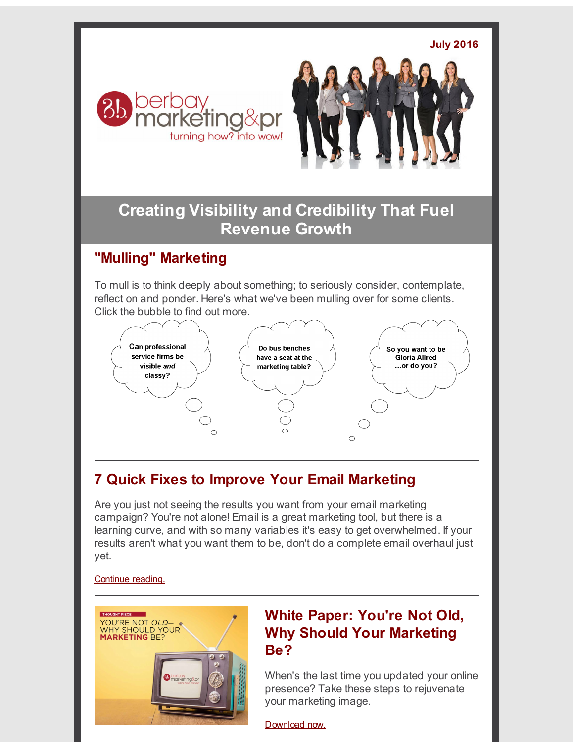

# **Creating Visibility and Credibility That Fuel Revenue Growth**

### **"Mulling" Marketing**

To mull is to think deeply about something; to seriously consider, contemplate, reflect on and ponder. Here's what we've been mulling over for some clients. Click the bubble to find out more.



## **7 Quick Fixes to Improve Your Email Marketing**

Are you just not seeing the results you want from your email marketing campaign? You're not alone! Email is a great marketing tool, but there is a learning curve, and with so many variables it's easy to get overwhelmed. If your results aren't what you want them to be, don't do a complete email overhaul just yet.

[Continue](http://r20.rs6.net/tn.jsp?f=001ZBPMCAVKKMdZTa5pjzKq6Myq31KLqMP_kqchxSJLbpsr0QT3xQVIOzpLb9m1L8RpLIgBZYWvSHo_qiL-tzegJzKqYwQcu9iym-LZuvSQzUu7h7dPv24VHYsfD6DMViVWQzUN_zC53yf8iAjlu9FWFK7Ou3RBIU4YWxVh8E1lu_h_pdwdbqBDlp2M93CNc08os5b86J6yydnoakbFWkpZ_qTUguwLFxyY&c=&ch=) reading.



### **White Paper: You're Not Old, Why Should Your Marketing Be?**

When's the last time you updated your online presence? Take these steps to rejuvenate your marketing image.

[Download](http://r20.rs6.net/tn.jsp?f=001ZBPMCAVKKMdZTa5pjzKq6Myq31KLqMP_kqchxSJLbpsr0QT3xQVIO1yAVpLGDf_SaMJ0wZrEHGmwHHzIQ7K-GyA7xLAdR-g5UcmNKjWk9ZCrYAskLDy3SKJIGa_nvcGDT7gIGX6ISt8MjNlfDouIcW-biuWhU6P9Nul4suIAxcQ9zCdoOFum2p1wDSJ7tmi_i-qw4u5cBD5AP7B-kSw1WaqEQ9P1S-hqOZQY-HlC82n43t9wtkQNmLALRAiHmjBO&c=&ch=) now.